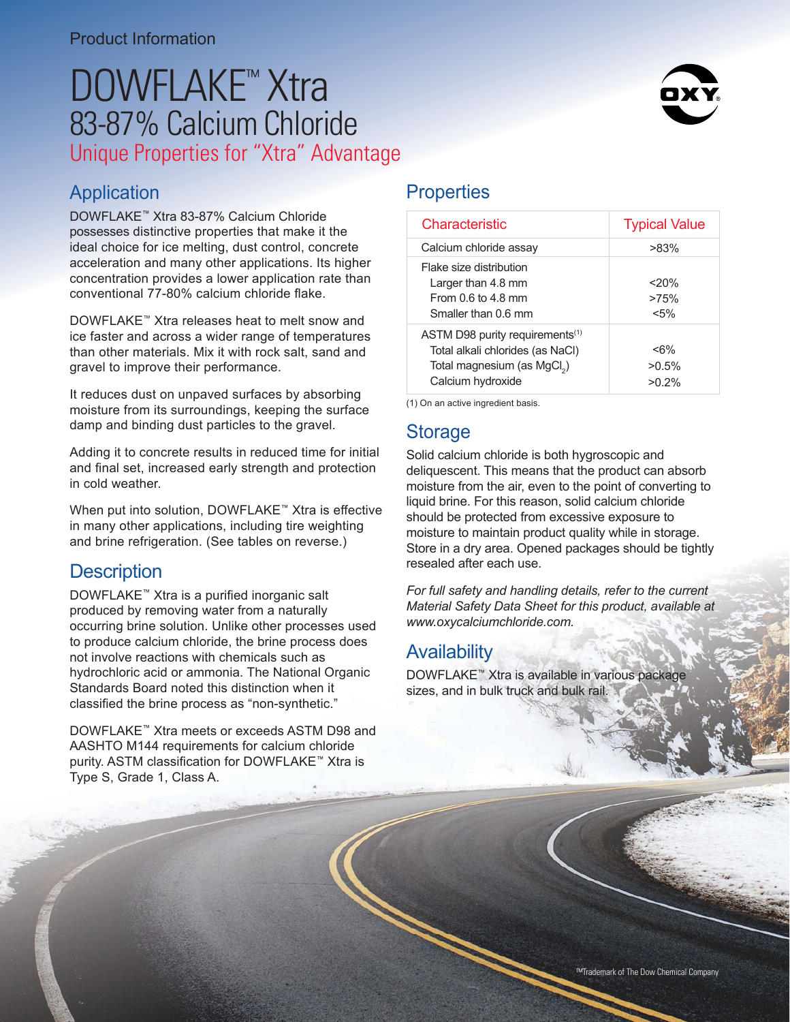# DOWFLAKE<sup>™</sup> Xtra 83-87% Calcium Chloride Unique Properties for "Xtra" Advantage

# Application

DOWFLAKE™ Xtra 83-87% Calcium Chloride possesses distinctive properties that make it the ideal choice for ice melting, dust control, concrete acceleration and many other applications. Its higher concentration provides a lower application rate than conventional 77-80% calcium chloride flake.

DOWFLAKE™ Xtra releases heat to melt snow and ice faster and across a wider range of temperatures than other materials. Mix it with rock salt, sand and gravel to improve their performance.

It reduces dust on unpaved surfaces by absorbing moisture from its surroundings, keeping the surface damp and binding dust particles to the gravel.

Adding it to concrete results in reduced time for initial and final set, increased early strength and protection in cold weather.

When put into solution, DOWFLAKE<sup>™</sup> Xtra is effective in many other applications, including tire weighting and brine refrigeration. (See tables on reverse.)

## **Description**

DOWFLAKE™ Xtra is a purified inorganic salt produced by removing water from a naturally occurring brine solution. Unlike other processes used to produce calcium chloride, the brine process does not involve reactions with chemicals such as hydrochloric acid or ammonia. The National Organic Standards Board noted this distinction when it classified the brine process as "non-synthetic."

DOWFLAKE™ Xtra meets or exceeds ASTM D98 and AASHTO M144 requirements for calcium chloride purity. ASTM classification for DOWFLAKE™ Xtra is Type S, Grade 1, Class A.

## **Properties**

| Characteristic                                                                                                                                  | <b>Typical Value</b>                 |
|-------------------------------------------------------------------------------------------------------------------------------------------------|--------------------------------------|
| Calcium chloride assay                                                                                                                          | $>83\%$                              |
| Flake size distribution<br>Larger than 4.8 mm<br>From $0.6$ to $4.8$ mm<br>Smaller than 0.6 mm                                                  | 20%<br>>75%<br>$< 5\%$               |
| ASTM D98 purity requirements <sup>(1)</sup><br>Total alkali chlorides (as NaCl)<br>Total magnesium (as MgCl <sub>2</sub> )<br>Calcium hydroxide | $<\!\!6\!\%$<br>$>0.5\%$<br>$>0.2\%$ |

(1) On an active ingredient basis.

#### **Storage**

Solid calcium chloride is both hygroscopic and deliquescent. This means that the product can absorb moisture from the air, even to the point of converting to liquid brine. For this reason, solid calcium chloride should be protected from excessive exposure to moisture to maintain product quality while in storage. Store in a dry area. Opened packages should be tightly resealed after each use.

*For full safety and handling details, refer to the current Material Safety Data Sheet for this product, available at www.oxycalciumchloride.com.*

## **Availability**

DOWFLAKE™ Xtra is available in various package sizes, and in bulk truck and bulk rail.